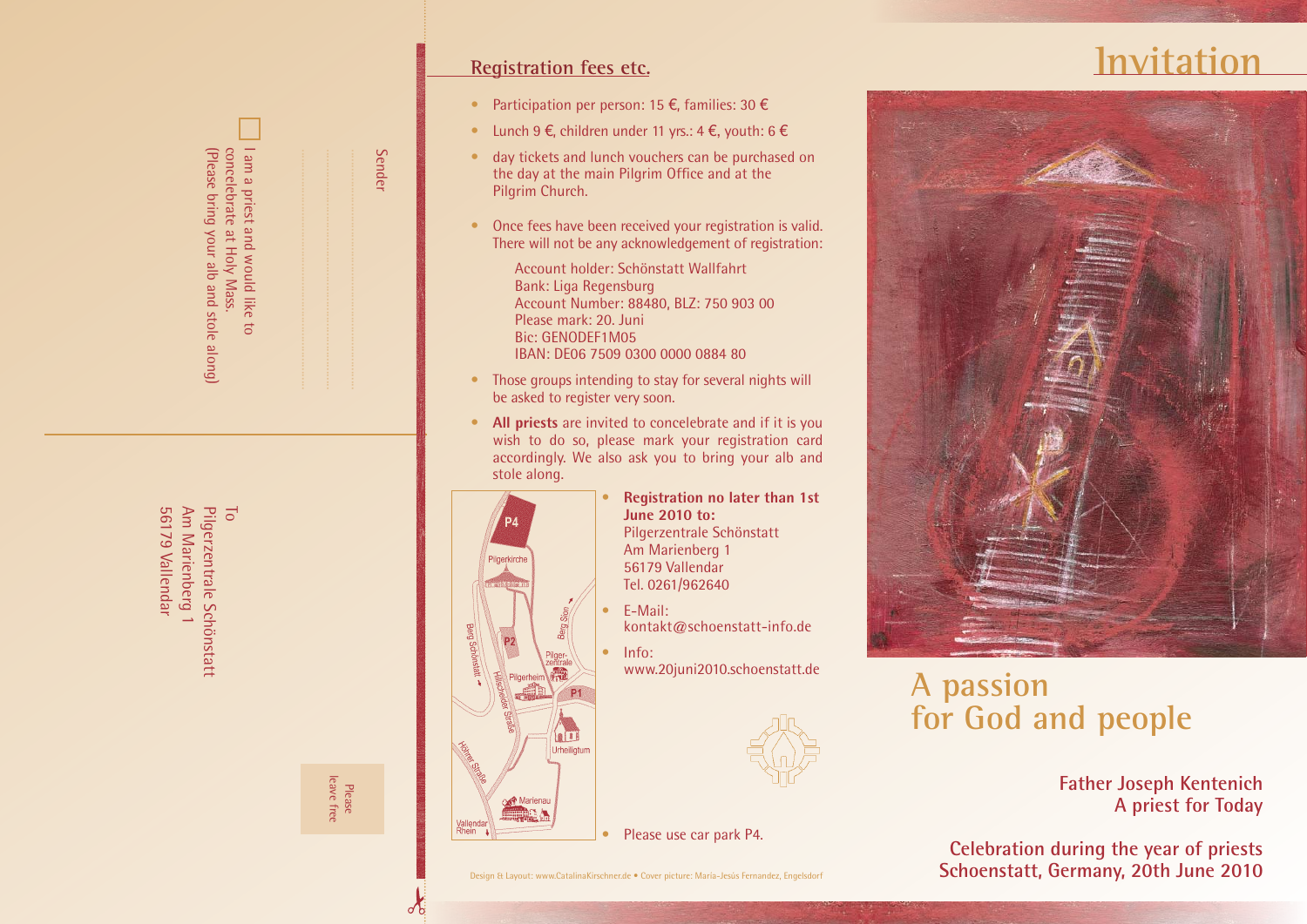| am a priest and would like to<br>(Please bring your alb and stole along)<br>concelebrate at Holy Mass. |            |        | <b>Sender</b> |  |
|--------------------------------------------------------------------------------------------------------|------------|--------|---------------|--|
| Pilgerzentrale Schönstatt<br>56179 Vallendar<br>Am Marienberg 1<br>$\overline{\circ}$                  | leave free | Please |               |  |

# **Registration fees etc.**

- Participation per person: 15  $\epsilon$ , families: 30  $\epsilon$
- $\bullet$  Lunch 9 €, children under 11 yrs.: 4 €, youth: 6 €
- day tickets and lunch vouchers can be purchased on the day at the main Pilgrim Office and at the Pilgrim Church.
- Once fees have been received your registration is valid. There will not be any acknowledgement of registration:
	- Account holder: Schönstatt Wallfahrt Bank: Liga Regensburg Account Number: 88480, BLZ: 750 903 00 Please mark: 20. Juni Bic: GENODEF1M05 IBAN: DE06 7509 0300 0000 0884 80
- Those groups intending to stay for several nights will be asked to register very soon.
- **All priests** are invited to concelebrate and if it is you wish to do so, please mark your registration card accordingly. We also ask you to bring your alb and stole along.



 $\delta$ 

- **Registration no later than 1st June 2010 to:** Pilgerzentrale Schönstatt Am Marienberg 1 56179 Vallendar Tel. 0261/962640
- E-Mail: kontakt@schoenstatt-info.de
- lnfo: www.20juni2010.schoenstatt.de



## • Please use car park P4.

# **Invitation**



# **A passion for God and people**

# **Father Joseph Kentenich A priest for Today**

**Celebration during the year of priests Schoenstatt, Germany, 20th June 2010**